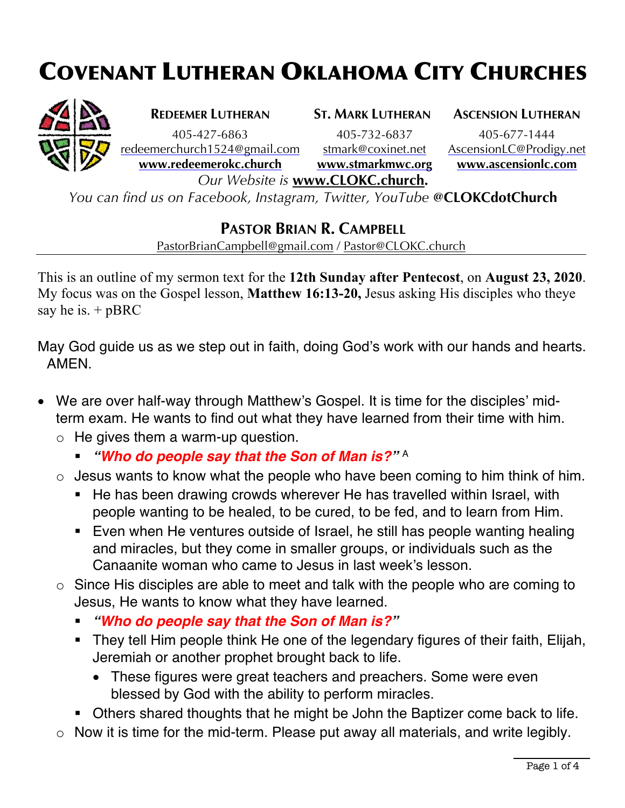## COVENANT LUTHERAN OKLAHOMA CITY CHURCHES



405-427-6863 405-732-6837 405-677-1444

**REDEEMER LUTHERAN ST. MARK LUTHERAN ASCENSION LUTHERAN**

redeemerchurch1524@gmail.com stmark@coxinet.net AscensionLC@Prodigy.net **www.redeemerokc.church www.stmarkmwc.org www.ascensionlc.com**

*Our Website is* **www.CLOKC.church.**

*You can find us on Facebook, Instagram, Twitter, YouTube* **@CLOKCdotChurch**

## **PASTOR BRIAN R. CAMPBELL**

PastorBrianCampbell@gmail.com / Pastor@CLOKC.church

This is an outline of my sermon text for the **12th Sunday after Pentecost**, on **August 23, 2020**. My focus was on the Gospel lesson, **Matthew 16:13-20,** Jesus asking His disciples who theye say he is.  $+pBRC$ 

May God guide us as we step out in faith, doing God's work with our hands and hearts. AMEN.

- We are over half-way through Matthew's Gospel. It is time for the disciples' midterm exam. He wants to find out what they have learned from their time with him.
	- $\circ$  He gives them a warm-up question.
		- § *"Who do people say that the Son of Man is?"* <sup>A</sup>
	- $\circ$  Jesus wants to know what the people who have been coming to him think of him.
		- He has been drawing crowds wherever He has travelled within Israel, with people wanting to be healed, to be cured, to be fed, and to learn from Him.
		- Even when He ventures outside of Israel, he still has people wanting healing and miracles, but they come in smaller groups, or individuals such as the Canaanite woman who came to Jesus in last week's lesson.
	- o Since His disciples are able to meet and talk with the people who are coming to Jesus, He wants to know what they have learned.
		- § *"Who do people say that the Son of Man is?"*
		- They tell Him people think He one of the legendary figures of their faith, Elijah, Jeremiah or another prophet brought back to life.
			- These figures were great teachers and preachers. Some were even blessed by God with the ability to perform miracles.
		- Others shared thoughts that he might be John the Baptizer come back to life.
	- o Now it is time for the mid-term. Please put away all materials, and write legibly.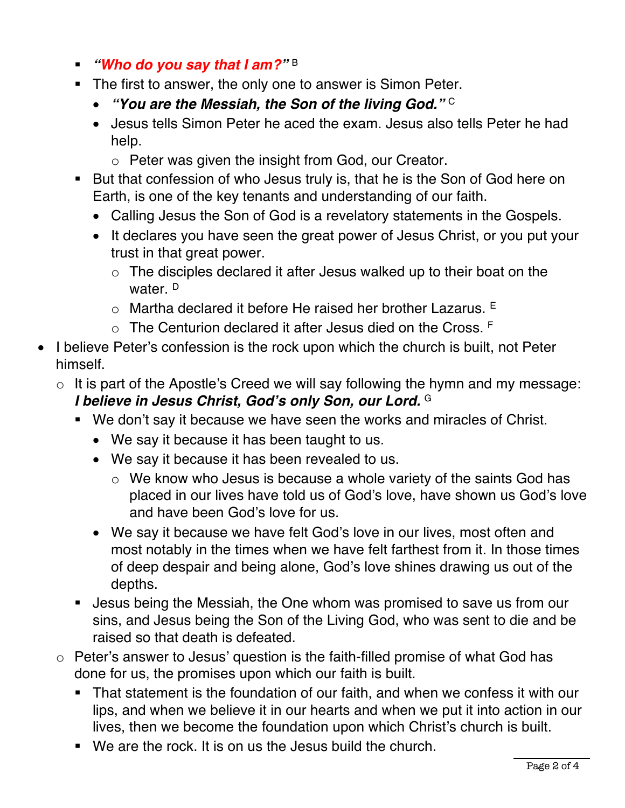- § *"Who do you say that I am?"* <sup>B</sup>
- The first to answer, the only one to answer is Simon Peter.
	- *"You are the Messiah, the Son of the living God."* <sup>C</sup>
	- Jesus tells Simon Peter he aced the exam. Jesus also tells Peter he had help.
		- o Peter was given the insight from God, our Creator.
- But that confession of who Jesus truly is, that he is the Son of God here on Earth, is one of the key tenants and understanding of our faith.
	- Calling Jesus the Son of God is a revelatory statements in the Gospels.
	- It declares you have seen the great power of Jesus Christ, or you put your trust in that great power.
		- $\circ$  The disciples declared it after Jesus walked up to their boat on the water. D
		- $\circ$  Martha declared it before He raised her brother Lazarus.  $E$
		- $\circ$  The Centurion declared it after Jesus died on the Cross.  $F$
- I believe Peter's confession is the rock upon which the church is built, not Peter himself.
	- $\circ$  It is part of the Apostle's Creed we will say following the hymn and my message: *I believe in Jesus Christ, God's only Son, our Lord.* <sup>G</sup>
		- We don't say it because we have seen the works and miracles of Christ.
			- We say it because it has been taught to us.
			- We say it because it has been revealed to us.
				- o We know who Jesus is because a whole variety of the saints God has placed in our lives have told us of God's love, have shown us God's love and have been God's love for us.
			- We say it because we have felt God's love in our lives, most often and most notably in the times when we have felt farthest from it. In those times of deep despair and being alone, God's love shines drawing us out of the depths.
		- Jesus being the Messiah, the One whom was promised to save us from our sins, and Jesus being the Son of the Living God, who was sent to die and be raised so that death is defeated.
	- o Peter's answer to Jesus' question is the faith-filled promise of what God has done for us, the promises upon which our faith is built.
		- That statement is the foundation of our faith, and when we confess it with our lips, and when we believe it in our hearts and when we put it into action in our lives, then we become the foundation upon which Christ's church is built.
		- We are the rock. It is on us the Jesus build the church.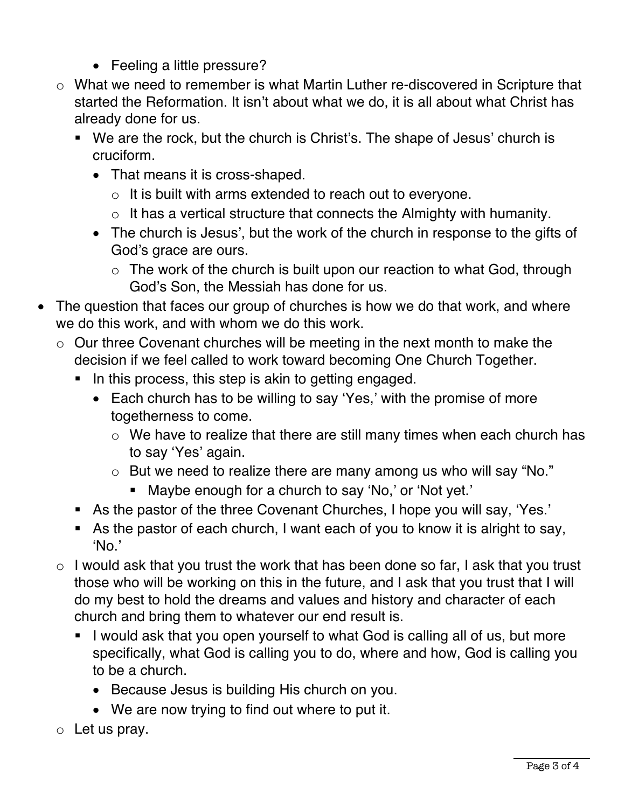- Feeling a little pressure?
- o What we need to remember is what Martin Luther re-discovered in Scripture that started the Reformation. It isn't about what we do, it is all about what Christ has already done for us.
	- § We are the rock, but the church is Christ's. The shape of Jesus' church is cruciform.
		- That means it is cross-shaped.
			- o It is built with arms extended to reach out to everyone.
			- $\circ$  It has a vertical structure that connects the Almighty with humanity.
		- The church is Jesus', but the work of the church in response to the gifts of God's grace are ours.
			- $\circ$  The work of the church is built upon our reaction to what God, through God's Son, the Messiah has done for us.
- The question that faces our group of churches is how we do that work, and where we do this work, and with whom we do this work.
	- o Our three Covenant churches will be meeting in the next month to make the decision if we feel called to work toward becoming One Church Together.
		- In this process, this step is akin to getting engaged.
			- Each church has to be willing to say 'Yes,' with the promise of more togetherness to come.
				- o We have to realize that there are still many times when each church has to say 'Yes' again.
				- o But we need to realize there are many among us who will say "No."
					- Maybe enough for a church to say 'No,' or 'Not yet.'
		- As the pastor of the three Covenant Churches, I hope you will say, 'Yes.'
		- As the pastor of each church, I want each of you to know it is alright to say, 'No.'
	- $\circ$  I would ask that you trust the work that has been done so far, I ask that you trust those who will be working on this in the future, and I ask that you trust that I will do my best to hold the dreams and values and history and character of each church and bring them to whatever our end result is.
		- I would ask that you open yourself to what God is calling all of us, but more specifically, what God is calling you to do, where and how, God is calling you to be a church.
			- Because Jesus is building His church on you.
			- We are now trying to find out where to put it.
	- $\circ$  Let us pray.